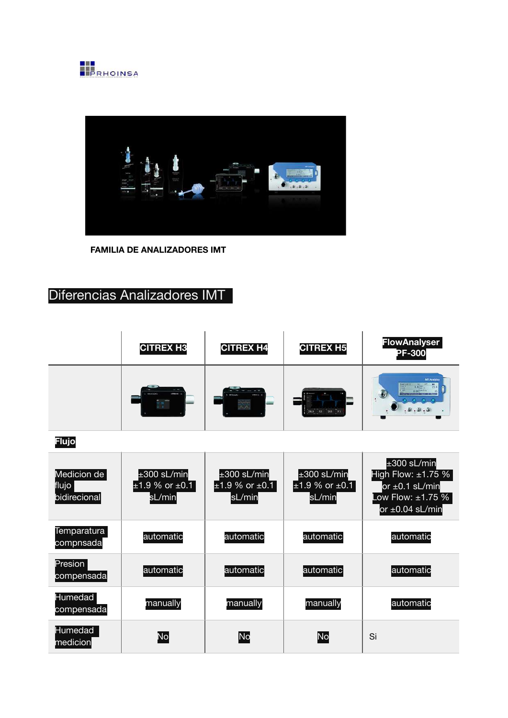



**FAMILIA DE ANALIZADORES IMT** 

## Diferencias Analizadores IMT

| <b>CITREX H3</b>                               | <b>CITREX H4</b>          | <b>CITREX H5</b> | <b>FlowAnalyser</b><br><b>PF-300</b> |
|------------------------------------------------|---------------------------|------------------|--------------------------------------|
| $-$<br><b>INFORMATION</b><br><b>BUT ALWAYS</b> | <b><i>DESERVATION</i></b> |                  | <b>INT Analytics</b>                 |

**Flujo**

| Medicion de<br>flujo<br>bidirecional | $±300$ sL/min<br>$±1.9$ % or $±0.1$<br>sL/min | $±300$ sL/min<br>$±1.9$ % or $±0.1$<br>sL/min | $\pm 300$ sL/min<br>$±1.9$ % or $±0.1$<br>sL/min | $±300$ sL/min<br>High Flow: $\pm 1.75$ %<br>or $\pm 0.1$ sL/min<br>Low Flow: $\pm 1.75$ %<br>or $\pm 0.04$ sL/min |
|--------------------------------------|-----------------------------------------------|-----------------------------------------------|--------------------------------------------------|-------------------------------------------------------------------------------------------------------------------|
| Temparatura<br>compnsada             | automatic                                     | automatic                                     | automatic                                        | automatic                                                                                                         |
| Presion<br>compensada                | automatic                                     | automatic                                     | automatic                                        | automatic                                                                                                         |
| <b>Humedad</b><br>compensada         | manually                                      | manually                                      | manually                                         | automatic                                                                                                         |
| <b>Humedad</b><br>medicion           | No                                            | No                                            | <b>No</b>                                        | Si                                                                                                                |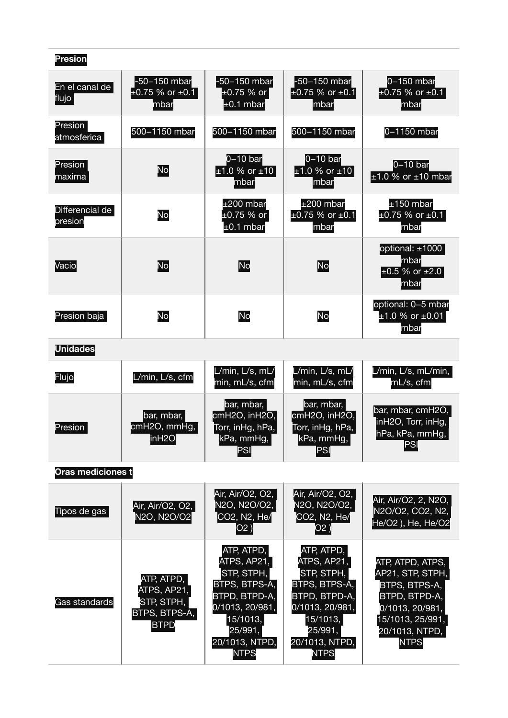| <b>Presion</b>             |                                                                         |                                                                                                                                                      |                                                                                                                                                      |                                                                                                                                                |
|----------------------------|-------------------------------------------------------------------------|------------------------------------------------------------------------------------------------------------------------------------------------------|------------------------------------------------------------------------------------------------------------------------------------------------------|------------------------------------------------------------------------------------------------------------------------------------------------|
| En el canal de<br>flujo    | -50-150 mbar<br>$\pm 0.75$ % or $\pm 0.1$<br>mbar                       | -50-150 mbar<br>$±0.75%$ or<br>$\pm 0.1$ mbar                                                                                                        | -50-150 mbar<br>$\pm 0.75$ % or $\pm 0.1$<br>lmbar                                                                                                   | $0-150$ mbar<br>$\pm 0.75$ % or $\pm 0.1$<br>mbar                                                                                              |
| Presion<br>atmosferica     | 500-1150 mbar                                                           | 500-1150 mbar                                                                                                                                        | 500-1150 mbar                                                                                                                                        | 0-1150 mbar                                                                                                                                    |
| Presion<br>maxima          | No                                                                      | $0-10$ bar<br>$±1.0 %$ or $±10$<br>lmbar                                                                                                             | $0-10$ bar<br>$±1.0$ % or $±10$<br>mbar                                                                                                              | $0-10$ bar<br>$±1.0$ % or $±10$ mbar                                                                                                           |
| Differencial de<br>presion | No                                                                      | $±200$ mbar<br>±0.75 % or<br>$±0.1$ mbar                                                                                                             | $±200$ mbar<br>$\pm 0.75$ % or $\pm 0.1$<br>mbar                                                                                                     | $±150$ mbar<br>$\pm 0.75$ % or $\pm 0.1$<br>mbar                                                                                               |
| Vacio                      | No                                                                      | No                                                                                                                                                   | No                                                                                                                                                   | optional: $\pm 1000$<br>lmbar<br>$±0.5$ % or $±2.0$<br><b>Imbar</b>                                                                            |
| Presion baja               | No                                                                      | <b>No</b>                                                                                                                                            | No                                                                                                                                                   | optional: 0-5 mbar<br>$±1.0$ % or $±0.01$<br>mbar                                                                                              |
| <b>Unidades</b>            |                                                                         |                                                                                                                                                      |                                                                                                                                                      |                                                                                                                                                |
| Flujo                      | L/min, L/s, cfm                                                         | L/min, L/s, mL/<br>min, mL/s, cfm                                                                                                                    | L/min, L/s, mL/<br>min, mL/s, cfm                                                                                                                    | /min, L/s, mL/min,<br>mL/s, cfm                                                                                                                |
| Presion                    | bar, mbar,<br>cmH2O, mmHg,<br>in H2O                                    | bar, mbar,<br>cmH2O, inH2O,<br>Torr, inHg, hPa,<br>kPa, mmHg,  <br>PSI                                                                               | bar, mbar,<br>cmH2O, inH2O,<br>Torr, inHg, hPa,<br>kPa, mmHg,<br>PSI                                                                                 | bar, mbar, cmH2O,<br>inH2O, Torr, inHg,<br>hPa, kPa, mmHg,<br>PSI                                                                              |
| Oras mediciones t          |                                                                         |                                                                                                                                                      |                                                                                                                                                      |                                                                                                                                                |
| Tipos de gas               | Air, Air/O2, O2,<br>N2O, N2O/O2                                         | Air, Air/O2, O2,<br>N2O, N2O/O2,<br>CO2, N2, He/<br>O2)                                                                                              | Air, Air/O2, O2,<br>N2O, N2O/O2,<br>CO2, N2, He/<br>O2 )                                                                                             | Air, Air/O2, 2, N2O,<br>N2O/O2, CO2, N2,<br>He/O2 ), He, He/O2                                                                                 |
| Gas standards              | ATP, ATPD,<br>ATPS, AP21,<br>STP, STPH,<br>BTPS, BTPS-A,<br><b>BTPD</b> | ATP, ATPD,<br>ATPS, AP21,<br>STP, STPH,<br>BTPS, BTPS-A,<br>BTPD, BTPD-A,<br>0/1013, 20/981,<br>15/1013,<br>25/991,<br>20/1013, NTPD,<br><b>NTPS</b> | ATP, ATPD,<br>ATPS, AP21,<br>STP, STPH,<br>BTPS, BTPS-A,<br>BTPD, BTPD-A,<br>0/1013, 20/981,<br>15/1013,<br>25/991,<br>20/1013, NTPD,<br><b>NTPS</b> | ATP, ATPD, ATPS,<br>AP21, STP, STPH,<br>BTPS, BTPS-A,<br>BTPD, BTPD-A,<br>0/1013, 20/981,<br>15/1013, 25/991,<br>20/1013, NTPD,<br><b>NTPS</b> |